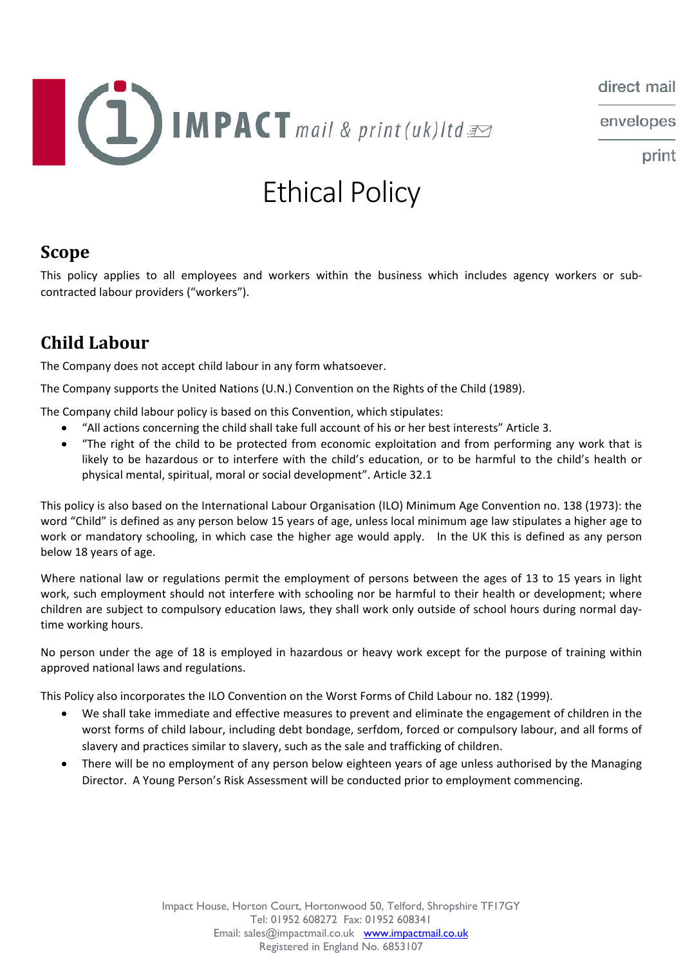

envelopes

print

# Ethical Policy

## **Scope**

This policy applies to all employees and workers within the business which includes agency workers or sub‐ contracted labour providers ("workers").

# **Child Labour**

The Company does not accept child labour in any form whatsoever.

The Company supports the United Nations (U.N.) Convention on the Rights of the Child (1989).

The Company child labour policy is based on this Convention, which stipulates:

- "All actions concerning the child shall take full account of his or her best interests" Article 3.
- "The right of the child to be protected from economic exploitation and from performing any work that is likely to be hazardous or to interfere with the child's education, or to be harmful to the child's health or physical mental, spiritual, moral or social development". Article 32.1

This policy is also based on the International Labour Organisation (ILO) Minimum Age Convention no. 138 (1973): the word "Child" is defined as any person below 15 years of age, unless local minimum age law stipulates a higher age to work or mandatory schooling, in which case the higher age would apply. In the UK this is defined as any person below 18 years of age.

Where national law or regulations permit the employment of persons between the ages of 13 to 15 years in light work, such employment should not interfere with schooling nor be harmful to their health or development; where children are subject to compulsory education laws, they shall work only outside of school hours during normal day‐ time working hours.

No person under the age of 18 is employed in hazardous or heavy work except for the purpose of training within approved national laws and regulations.

This Policy also incorporates the ILO Convention on the Worst Forms of Child Labour no. 182 (1999).

- We shall take immediate and effective measures to prevent and eliminate the engagement of children in the worst forms of child labour, including debt bondage, serfdom, forced or compulsory labour, and all forms of slavery and practices similar to slavery, such as the sale and trafficking of children.
- There will be no employment of any person below eighteen years of age unless authorised by the Managing Director. A Young Person's Risk Assessment will be conducted prior to employment commencing.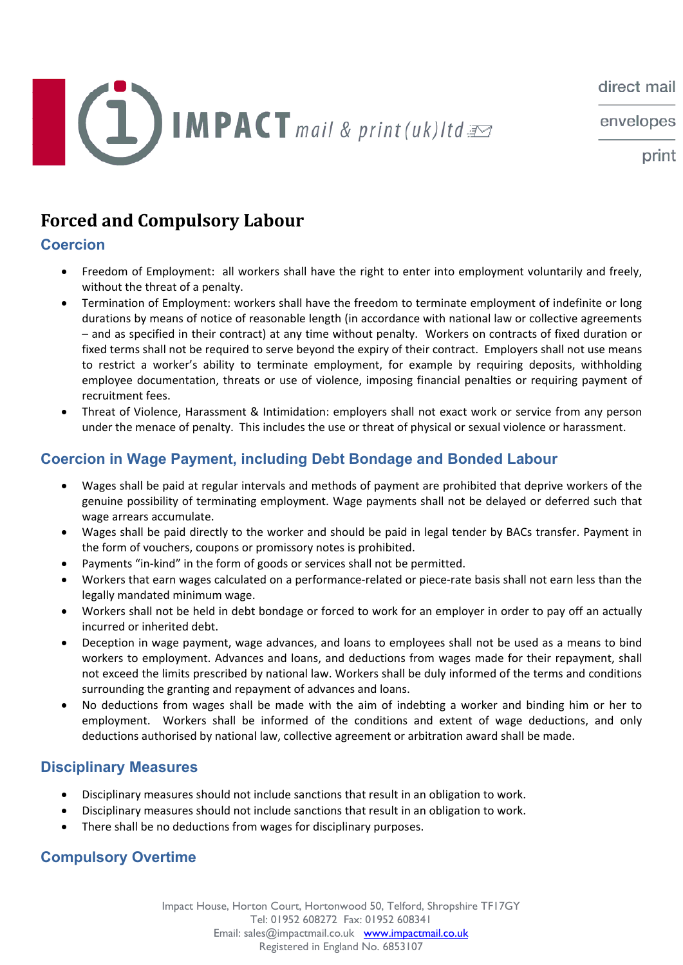envelopes



print

# **Forced and Compulsory Labour**

## **Coercion**

- Freedom of Employment: all workers shall have the right to enter into employment voluntarily and freely, without the threat of a penalty.
- Termination of Employment: workers shall have the freedom to terminate employment of indefinite or long durations by means of notice of reasonable length (in accordance with national law or collective agreements – and as specified in their contract) at any time without penalty. Workers on contracts of fixed duration or fixed terms shall not be required to serve beyond the expiry of their contract. Employers shall not use means to restrict a worker's ability to terminate employment, for example by requiring deposits, withholding employee documentation, threats or use of violence, imposing financial penalties or requiring payment of recruitment fees.
- Threat of Violence, Harassment & Intimidation: employers shall not exact work or service from any person under the menace of penalty. This includes the use or threat of physical or sexual violence or harassment.

### **Coercion in Wage Payment, including Debt Bondage and Bonded Labour**

- Wages shall be paid at regular intervals and methods of payment are prohibited that deprive workers of the genuine possibility of terminating employment. Wage payments shall not be delayed or deferred such that wage arrears accumulate.
- Wages shall be paid directly to the worker and should be paid in legal tender by BACs transfer. Payment in the form of vouchers, coupons or promissory notes is prohibited.
- Payments "in‐kind" in the form of goods or services shall not be permitted.
- Workers that earn wages calculated on a performance-related or piece-rate basis shall not earn less than the legally mandated minimum wage.
- Workers shall not be held in debt bondage or forced to work for an employer in order to pay off an actually incurred or inherited debt.
- Deception in wage payment, wage advances, and loans to employees shall not be used as a means to bind workers to employment. Advances and loans, and deductions from wages made for their repayment, shall not exceed the limits prescribed by national law. Workers shall be duly informed of the terms and conditions surrounding the granting and repayment of advances and loans.
- No deductions from wages shall be made with the aim of indebting a worker and binding him or her to employment. Workers shall be informed of the conditions and extent of wage deductions, and only deductions authorised by national law, collective agreement or arbitration award shall be made.

#### **Disciplinary Measures**

- Disciplinary measures should not include sanctions that result in an obligation to work.
- Disciplinary measures should not include sanctions that result in an obligation to work.
- There shall be no deductions from wages for disciplinary purposes.

### **Compulsory Overtime**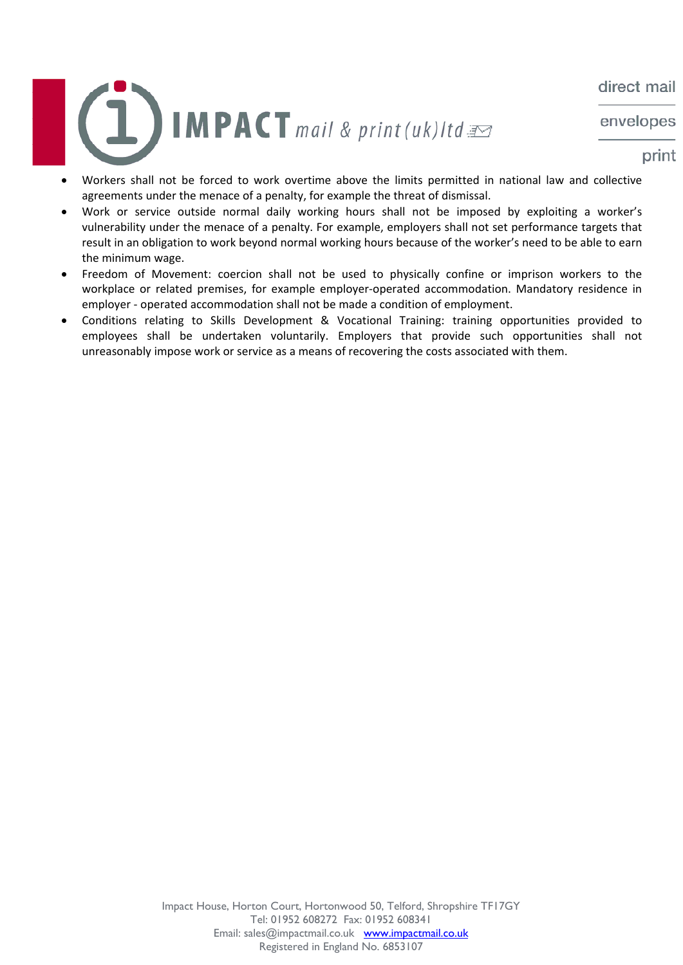envelopes



- print
- Workers shall not be forced to work overtime above the limits permitted in national law and collective agreements under the menace of a penalty, for example the threat of dismissal.
- Work or service outside normal daily working hours shall not be imposed by exploiting a worker's vulnerability under the menace of a penalty. For example, employers shall not set performance targets that result in an obligation to work beyond normal working hours because of the worker's need to be able to earn the minimum wage.
- Freedom of Movement: coercion shall not be used to physically confine or imprison workers to the workplace or related premises, for example employer-operated accommodation. Mandatory residence in employer - operated accommodation shall not be made a condition of employment.
- Conditions relating to Skills Development & Vocational Training: training opportunities provided to employees shall be undertaken voluntarily. Employers that provide such opportunities shall not unreasonably impose work or service as a means of recovering the costs associated with them.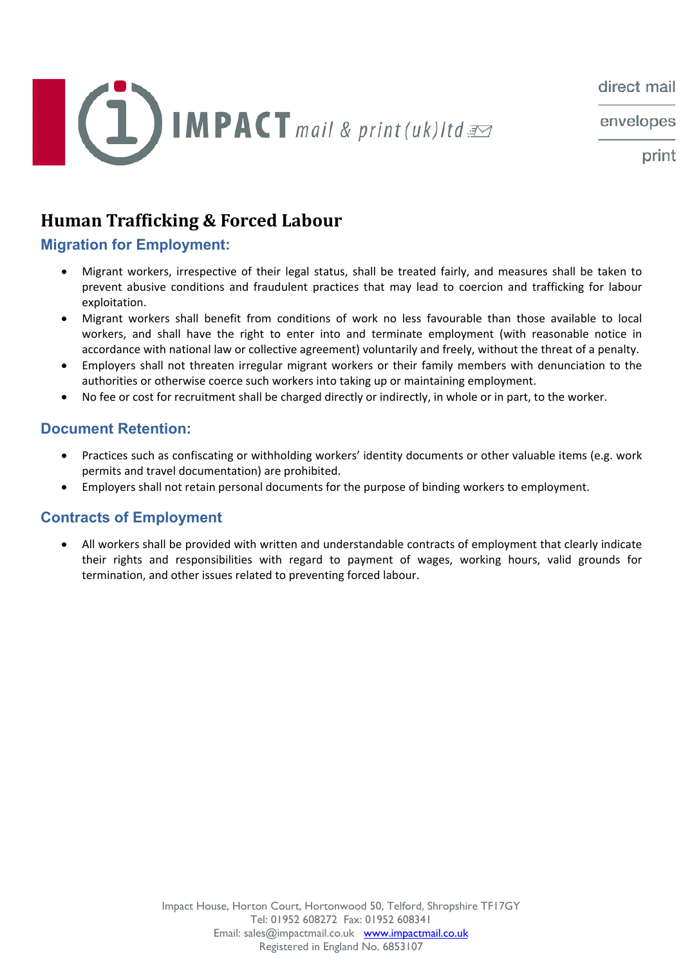

envelopes

print

# **Human Trafficking & Forced Labour**

#### **Migration for Employment:**

- Migrant workers, irrespective of their legal status, shall be treated fairly, and measures shall be taken to prevent abusive conditions and fraudulent practices that may lead to coercion and trafficking for labour exploitation.
- Migrant workers shall benefit from conditions of work no less favourable than those available to local workers, and shall have the right to enter into and terminate employment (with reasonable notice in accordance with national law or collective agreement) voluntarily and freely, without the threat of a penalty.
- Employers shall not threaten irregular migrant workers or their family members with denunciation to the authorities or otherwise coerce such workers into taking up or maintaining employment.
- No fee or cost for recruitment shall be charged directly or indirectly, in whole or in part, to the worker.

#### **Document Retention:**

- Practices such as confiscating or withholding workers' identity documents or other valuable items (e.g. work permits and travel documentation) are prohibited.
- Employers shall not retain personal documents for the purpose of binding workers to employment.

#### **Contracts of Employment**

 All workers shall be provided with written and understandable contracts of employment that clearly indicate their rights and responsibilities with regard to payment of wages, working hours, valid grounds for termination, and other issues related to preventing forced labour.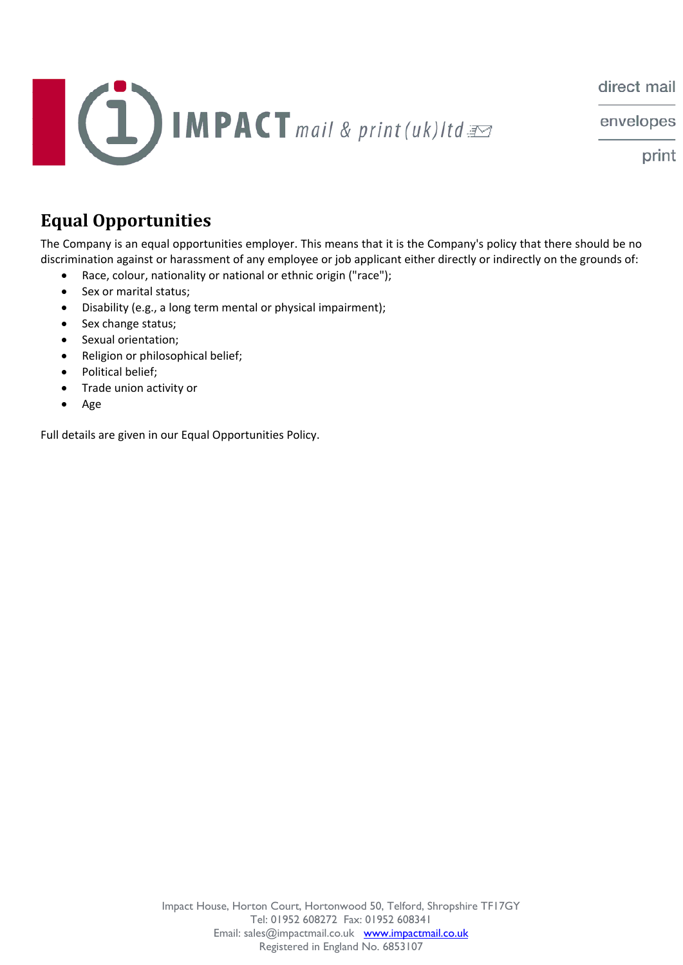

envelopes

print

# **Equal Opportunities**

The Company is an equal opportunities employer. This means that it is the Company's policy that there should be no discrimination against or harassment of any employee or job applicant either directly or indirectly on the grounds of:

- Race, colour, nationality or national or ethnic origin ("race");
- Sex or marital status;
- Disability (e.g., a long term mental or physical impairment);
- Sex change status;
- Sexual orientation;
- Religion or philosophical belief;
- Political belief;
- Trade union activity or
- Age

Full details are given in our Equal Opportunities Policy.